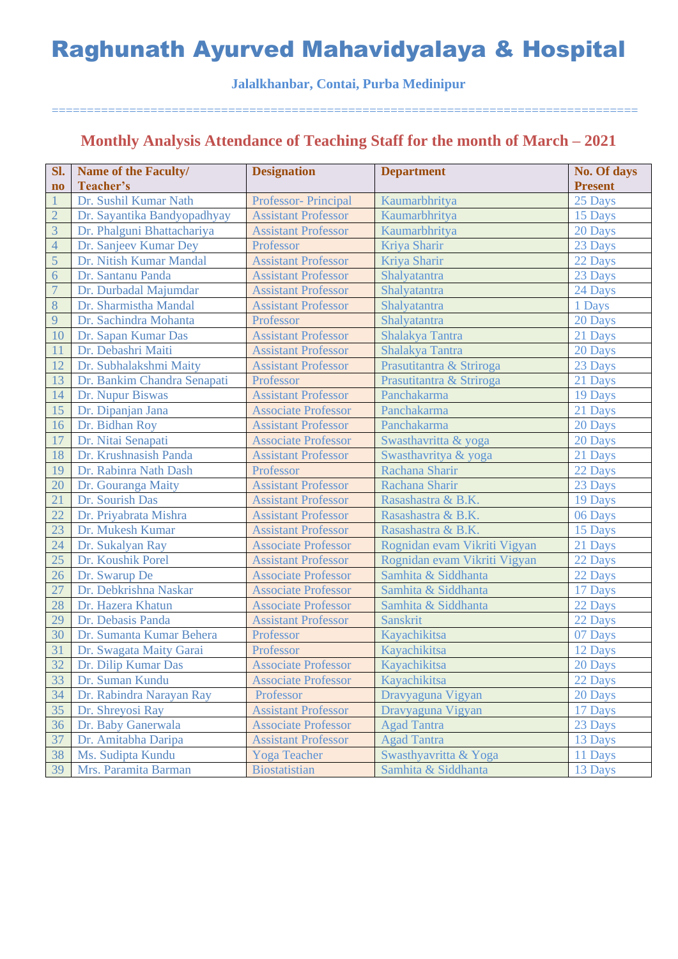#### **Jalalkhanbar, Contai, Purba Medinipur**

===================================================================================

## **Monthly Analysis Attendance of Teaching Staff for the month of March – 2021**

| Sl.                    | Name of the Faculty/        | <b>Designation</b>         | <b>Department</b>            | No. Of days    |
|------------------------|-----------------------------|----------------------------|------------------------------|----------------|
| $\mathbf{n}\mathbf{o}$ | Teacher's                   |                            |                              | <b>Present</b> |
|                        | Dr. Sushil Kumar Nath       | Professor- Principal       | Kaumarbhritya                | 25 Days        |
| $\overline{2}$         | Dr. Sayantika Bandyopadhyay | <b>Assistant Professor</b> | Kaumarbhritya                | 15 Days        |
| $\overline{3}$         | Dr. Phalguni Bhattachariya  | <b>Assistant Professor</b> | Kaumarbhritya                | 20 Days        |
| $\overline{4}$         | Dr. Sanjeev Kumar Dey       | Professor                  | Kriya Sharir                 | 23 Days        |
| 5                      | Dr. Nitish Kumar Mandal     | <b>Assistant Professor</b> | Kriya Sharir                 | 22 Days        |
| $\overline{6}$         | Dr. Santanu Panda           | <b>Assistant Professor</b> | Shalyatantra                 | 23 Days        |
| $\overline{7}$         | Dr. Durbadal Majumdar       | <b>Assistant Professor</b> | Shalyatantra                 | 24 Days        |
| $8\,$                  | Dr. Sharmistha Mandal       | <b>Assistant Professor</b> | Shalyatantra                 | 1 Days         |
| 9                      | Dr. Sachindra Mohanta       | Professor                  | Shalyatantra                 | 20 Days        |
| 10                     | Dr. Sapan Kumar Das         | <b>Assistant Professor</b> | Shalakya Tantra              | 21 Days        |
| 11                     | Dr. Debashri Maiti          | <b>Assistant Professor</b> | Shalakya Tantra              | 20 Days        |
| 12                     | Dr. Subhalakshmi Maity      | <b>Assistant Professor</b> | Prasutitantra & Striroga     | 23 Days        |
| 13                     | Dr. Bankim Chandra Senapati | Professor                  | Prasutitantra & Striroga     | 21 Days        |
| 14                     | Dr. Nupur Biswas            | <b>Assistant Professor</b> | Panchakarma                  | 19 Days        |
| 15                     | Dr. Dipanjan Jana           | <b>Associate Professor</b> | Panchakarma                  | 21 Days        |
| 16                     | Dr. Bidhan Roy              | <b>Assistant Professor</b> | Panchakarma                  | 20 Days        |
| 17                     | Dr. Nitai Senapati          | <b>Associate Professor</b> | Swasthavritta & yoga         | 20 Days        |
| 18                     | Dr. Krushnasish Panda       | <b>Assistant Professor</b> | Swasthavritya & yoga         | 21 Days        |
| 19                     | Dr. Rabinra Nath Dash       | Professor                  | Rachana Sharir               | 22 Days        |
| 20                     | Dr. Gouranga Maity          | <b>Assistant Professor</b> | Rachana Sharir               | 23 Days        |
| 21                     | Dr. Sourish Das             | <b>Assistant Professor</b> | Rasashastra & B.K.           | 19 Days        |
| 22                     | Dr. Priyabrata Mishra       | <b>Assistant Professor</b> | Rasashastra & B.K.           | 06 Days        |
| 23                     | Dr. Mukesh Kumar            | <b>Assistant Professor</b> | Rasashastra & B.K.           | 15 Days        |
| 24                     | Dr. Sukalyan Ray            | <b>Associate Professor</b> | Rognidan evam Vikriti Vigyan | 21 Days        |
| 25                     | Dr. Koushik Porel           | <b>Assistant Professor</b> | Rognidan evam Vikriti Vigyan | 22 Days        |
| 26                     | Dr. Swarup De               | <b>Associate Professor</b> | Samhita & Siddhanta          | 22 Days        |
| 27                     | Dr. Debkrishna Naskar       | <b>Associate Professor</b> | Samhita & Siddhanta          | 17 Days        |
| 28                     | Dr. Hazera Khatun           | <b>Associate Professor</b> | Samhita & Siddhanta          | 22 Days        |
| 29                     | Dr. Debasis Panda           | <b>Assistant Professor</b> | <b>Sanskrit</b>              | 22 Days        |
| 30                     | Dr. Sumanta Kumar Behera    | Professor                  | Kayachikitsa                 | 07 Days        |
| 31                     | Dr. Swagata Maity Garai     | Professor                  | Kayachikitsa                 | 12 Days        |
| 32                     | Dr. Dilip Kumar Das         | <b>Associate Professor</b> | Kayachikitsa                 | 20 Days        |
| 33                     | Dr. Suman Kundu             | <b>Associate Professor</b> | Kayachikitsa                 | 22 Days        |
| 34                     | Dr. Rabindra Narayan Ray    | Professor                  | Dravyaguna Vigyan            | 20 Days        |
| 35                     | Dr. Shreyosi Ray            | <b>Assistant Professor</b> | Dravyaguna Vigyan            | 17 Days        |
| 36                     | Dr. Baby Ganerwala          | <b>Associate Professor</b> | <b>Agad Tantra</b>           | 23 Days        |
| 37                     | Dr. Amitabha Daripa         | <b>Assistant Professor</b> | <b>Agad Tantra</b>           | 13 Days        |
| 38                     | Ms. Sudipta Kundu           | <b>Yoga Teacher</b>        | Swasthyavritta & Yoga        | 11 Days        |
| 39                     | Mrs. Paramita Barman        | <b>Biostatistian</b>       | Samhita & Siddhanta          | 13 Days        |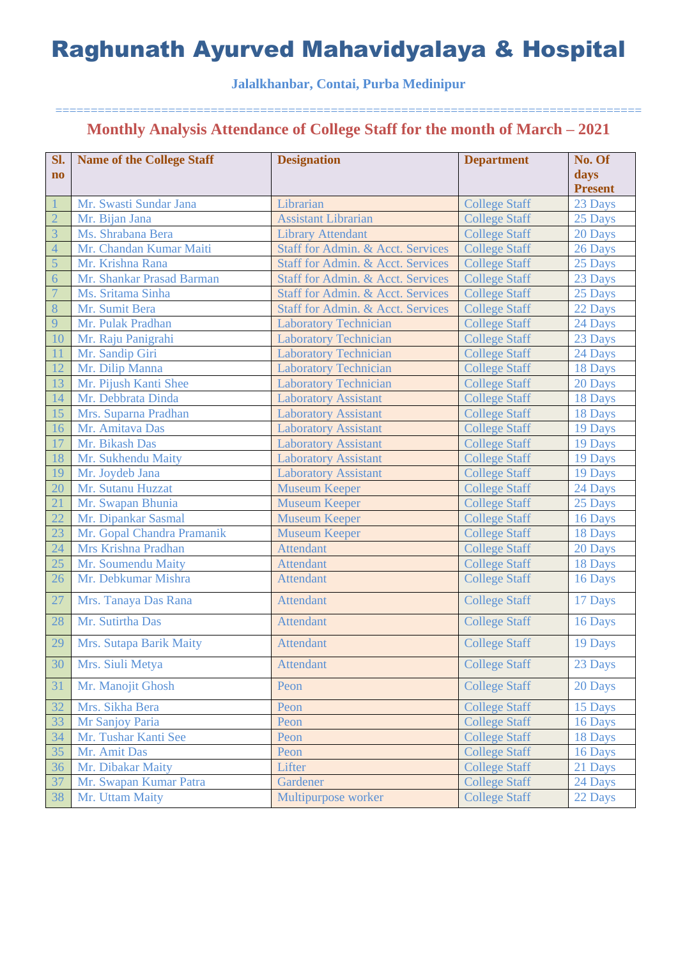### **Jalalkhanbar, Contai, Purba Medinipur**

| Sl.                    | <b>Name of the College Staff</b> | <b>Designation</b>                           | <b>Department</b>    | No. Of         |
|------------------------|----------------------------------|----------------------------------------------|----------------------|----------------|
| $\mathbf{n}\mathbf{o}$ |                                  |                                              |                      | days           |
|                        |                                  |                                              |                      | <b>Present</b> |
|                        | Mr. Swasti Sundar Jana           | Librarian                                    | <b>College Staff</b> | 23 Days        |
| $\overline{2}$         | Mr. Bijan Jana                   | <b>Assistant Librarian</b>                   | <b>College Staff</b> | 25 Days        |
| $\overline{3}$         | Ms. Shrabana Bera                | <b>Library Attendant</b>                     | <b>College Staff</b> | 20 Days        |
| $\overline{4}$         | Mr. Chandan Kumar Maiti          | Staff for Admin. & Acct. Services            | <b>College Staff</b> | 26 Days        |
| 5                      | Mr. Krishna Rana                 | Staff for Admin. & Acct. Services            | <b>College Staff</b> | 25 Days        |
| 6                      | Mr. Shankar Prasad Barman        | Staff for Admin. & Acct. Services            | <b>College Staff</b> | 23 Days        |
| $\overline{7}$         | Ms. Sritama Sinha                | Staff for Admin. & Acct. Services            | <b>College Staff</b> | 25 Days        |
| 8                      | Mr. Sumit Bera                   | <b>Staff for Admin. &amp; Acct. Services</b> | <b>College Staff</b> | 22 Days        |
| 9                      | Mr. Pulak Pradhan                | <b>Laboratory Technician</b>                 | <b>College Staff</b> | 24 Days        |
| 10                     | Mr. Raju Panigrahi               | <b>Laboratory Technician</b>                 | <b>College Staff</b> | 23 Days        |
| 11                     | Mr. Sandip Giri                  | <b>Laboratory Technician</b>                 | <b>College Staff</b> | 24 Days        |
| 12                     | Mr. Dilip Manna                  | <b>Laboratory Technician</b>                 | <b>College Staff</b> | 18 Days        |
| 13                     | Mr. Pijush Kanti Shee            | <b>Laboratory Technician</b>                 | <b>College Staff</b> | 20 Days        |
| 14                     | Mr. Debbrata Dinda               | <b>Laboratory Assistant</b>                  | <b>College Staff</b> | 18 Days        |
| 15                     | Mrs. Suparna Pradhan             | <b>Laboratory Assistant</b>                  | <b>College Staff</b> | 18 Days        |
| 16                     | Mr. Amitava Das                  | <b>Laboratory Assistant</b>                  | <b>College Staff</b> | 19 Days        |
| 17                     | Mr. Bikash Das                   | <b>Laboratory Assistant</b>                  | <b>College Staff</b> | 19 Days        |
| 18                     | Mr. Sukhendu Maity               | <b>Laboratory Assistant</b>                  | <b>College Staff</b> | 19 Days        |
| 19                     | Mr. Joydeb Jana                  | <b>Laboratory Assistant</b>                  | <b>College Staff</b> | 19 Days        |
| 20                     | Mr. Sutanu Huzzat                | <b>Museum Keeper</b>                         | <b>College Staff</b> | 24 Days        |
| 21                     | Mr. Swapan Bhunia                | <b>Museum Keeper</b>                         | <b>College Staff</b> | 25 Days        |
| 22                     | Mr. Dipankar Sasmal              | <b>Museum Keeper</b>                         | <b>College Staff</b> | 16 Days        |
| 23                     | Mr. Gopal Chandra Pramanik       | <b>Museum Keeper</b>                         | <b>College Staff</b> | 18 Days        |
| 24                     | Mrs Krishna Pradhan              | <b>Attendant</b>                             | <b>College Staff</b> | 20 Days        |
| 25                     | Mr. Soumendu Maity               | <b>Attendant</b>                             | <b>College Staff</b> | 18 Days        |
| 26                     | Mr. Debkumar Mishra              | <b>Attendant</b>                             | <b>College Staff</b> | 16 Days        |
| 27                     | Mrs. Tanaya Das Rana             | <b>Attendant</b>                             | <b>College Staff</b> | 17 Days        |
| 28                     | Mr. Sutirtha Das                 | <b>Attendant</b>                             | <b>College Staff</b> | 16 Days        |
| 29                     | Mrs. Sutapa Barik Maity          | <b>Attendant</b>                             | <b>College Staff</b> | 19 Days        |
| 30                     | Mrs. Siuli Metya                 | <b>Attendant</b>                             | <b>College Staff</b> | 23 Days        |
| 31                     | Mr. Manojit Ghosh                | Peon                                         | <b>College Staff</b> | 20 Days        |
| 32                     | Mrs. Sikha Bera                  | Peon                                         | <b>College Staff</b> | 15 Days        |
| 33                     | Mr Sanjoy Paria                  | Peon                                         | <b>College Staff</b> | 16 Days        |
| 34                     | Mr. Tushar Kanti See             | Peon                                         | <b>College Staff</b> | 18 Days        |
| 35                     | Mr. Amit Das                     | Peon                                         | <b>College Staff</b> | 16 Days        |
| 36                     | Mr. Dibakar Maity                | Lifter                                       | <b>College Staff</b> | 21 Days        |
| 37                     | Mr. Swapan Kumar Patra           | Gardener                                     | <b>College Staff</b> | 24 Days        |
| 38                     | Mr. Uttam Maity                  | Multipurpose worker                          | <b>College Staff</b> | 22 Days        |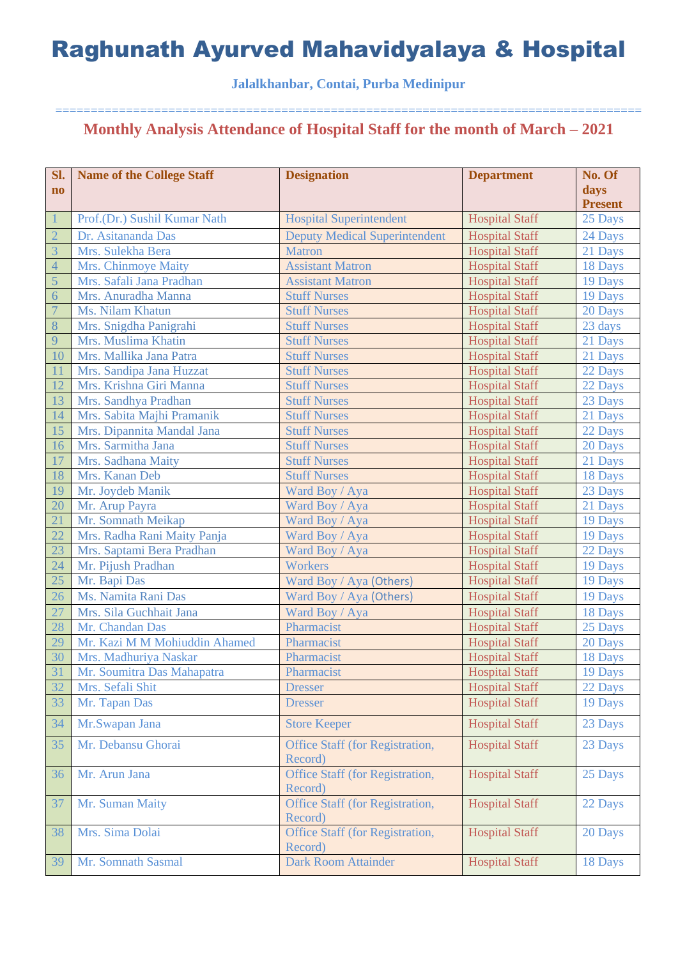### **Jalalkhanbar, Contai, Purba Medinipur**

| Sl.            | <b>Name of the College Staff</b> | <b>Designation</b>                                | <b>Department</b>     | No. Of         |
|----------------|----------------------------------|---------------------------------------------------|-----------------------|----------------|
| $\mathbf{no}$  |                                  |                                                   |                       | days           |
|                |                                  |                                                   |                       | <b>Present</b> |
| $\mathbf{1}$   | Prof.(Dr.) Sushil Kumar Nath     | <b>Hospital Superintendent</b>                    | <b>Hospital Staff</b> | 25 Days        |
| $\overline{2}$ | Dr. Asitananda Das               | <b>Deputy Medical Superintendent</b>              | <b>Hospital Staff</b> | 24 Days        |
| $\overline{3}$ | Mrs. Sulekha Bera                | <b>Matron</b>                                     | <b>Hospital Staff</b> | 21 Days        |
| $\overline{4}$ | Mrs. Chinmoye Maity              | <b>Assistant Matron</b>                           | <b>Hospital Staff</b> | 18 Days        |
| 5              | Mrs. Safali Jana Pradhan         | <b>Assistant Matron</b>                           | <b>Hospital Staff</b> | 19 Days        |
| $\overline{6}$ | Mrs. Anuradha Manna              | <b>Stuff Nurses</b>                               | <b>Hospital Staff</b> | 19 Days        |
| $\overline{7}$ | Ms. Nilam Khatun                 | <b>Stuff Nurses</b>                               | <b>Hospital Staff</b> | 20 Days        |
| $8\phantom{1}$ | Mrs. Snigdha Panigrahi           | <b>Stuff Nurses</b>                               | <b>Hospital Staff</b> | 23 days        |
| 9              | Mrs. Muslima Khatin              | <b>Stuff Nurses</b>                               | <b>Hospital Staff</b> | 21 Days        |
| 10             | Mrs. Mallika Jana Patra          | <b>Stuff Nurses</b>                               | <b>Hospital Staff</b> | 21 Days        |
| 11             | Mrs. Sandipa Jana Huzzat         | <b>Stuff Nurses</b>                               | <b>Hospital Staff</b> | 22 Days        |
| 12             | Mrs. Krishna Giri Manna          | <b>Stuff Nurses</b>                               | <b>Hospital Staff</b> | 22 Days        |
| 13             | Mrs. Sandhya Pradhan             | <b>Stuff Nurses</b>                               | <b>Hospital Staff</b> | 23 Days        |
| 14             | Mrs. Sabita Majhi Pramanik       | <b>Stuff Nurses</b>                               | <b>Hospital Staff</b> | 21 Days        |
| 15             | Mrs. Dipannita Mandal Jana       | <b>Stuff Nurses</b>                               | <b>Hospital Staff</b> | 22 Days        |
| 16             | Mrs. Sarmitha Jana               | <b>Stuff Nurses</b>                               | <b>Hospital Staff</b> | 20 Days        |
| 17             | Mrs. Sadhana Maity               | <b>Stuff Nurses</b>                               | <b>Hospital Staff</b> | 21 Days        |
| 18             | Mrs. Kanan Deb                   | <b>Stuff Nurses</b>                               | <b>Hospital Staff</b> | 18 Days        |
| 19             | Mr. Joydeb Manik                 | Ward Boy / Aya                                    | <b>Hospital Staff</b> | 23 Days        |
| 20             | Mr. Arup Payra                   | Ward Boy / Aya                                    | <b>Hospital Staff</b> | 21 Days        |
| 21             | Mr. Somnath Meikap               | Ward Boy / Aya                                    | <b>Hospital Staff</b> | 19 Days        |
| 22             | Mrs. Radha Rani Maity Panja      | Ward Boy / Aya                                    | <b>Hospital Staff</b> | 19 Days        |
| 23             | Mrs. Saptami Bera Pradhan        | Ward Boy / Aya                                    | <b>Hospital Staff</b> | 22 Days        |
| 24             | Mr. Pijush Pradhan               | Workers                                           | <b>Hospital Staff</b> | 19 Days        |
| 25             | Mr. Bapi Das                     | Ward Boy / Aya (Others)                           | <b>Hospital Staff</b> | 19 Days        |
| 26             | Ms. Namita Rani Das              | Ward Boy / Aya (Others)                           | <b>Hospital Staff</b> | 19 Days        |
| 27             | Mrs. Sila Guchhait Jana          | Ward Boy / Aya                                    | <b>Hospital Staff</b> | 18 Days        |
| 28             | Mr. Chandan Das                  | Pharmacist                                        | <b>Hospital Staff</b> | 25 Days        |
| 29             | Mr. Kazi M M Mohiuddin Ahamed    | Pharmacist                                        | <b>Hospital Staff</b> | 20 Days        |
| 30             | Mrs. Madhuriya Naskar            | Pharmacist                                        | <b>Hospital Staff</b> | 18 Days        |
| 31             | Mr. Soumitra Das Mahapatra       | Pharmacist                                        | <b>Hospital Staff</b> | 19 Days        |
| 32             | Mrs. Sefali Shit                 | <b>Dresser</b>                                    | <b>Hospital Staff</b> | 22 Days        |
| 33             | Mr. Tapan Das                    | <b>Dresser</b>                                    | <b>Hospital Staff</b> | 19 Days        |
|                |                                  |                                                   |                       |                |
| 34             | Mr.Swapan Jana                   | <b>Store Keeper</b>                               | <b>Hospital Staff</b> | 23 Days        |
| 35             | Mr. Debansu Ghorai               | Office Staff (for Registration,<br>Record)        | <b>Hospital Staff</b> | 23 Days        |
| 36             | Mr. Arun Jana                    | Office Staff (for Registration,<br>Record)        | <b>Hospital Staff</b> | 25 Days        |
| 37             | Mr. Suman Maity                  | <b>Office Staff (for Registration,</b><br>Record) | <b>Hospital Staff</b> | 22 Days        |
| 38             | Mrs. Sima Dolai                  | Office Staff (for Registration,<br>Record)        | <b>Hospital Staff</b> | 20 Days        |
| 39             | Mr. Somnath Sasmal               | <b>Dark Room Attainder</b>                        | <b>Hospital Staff</b> | 18 Days        |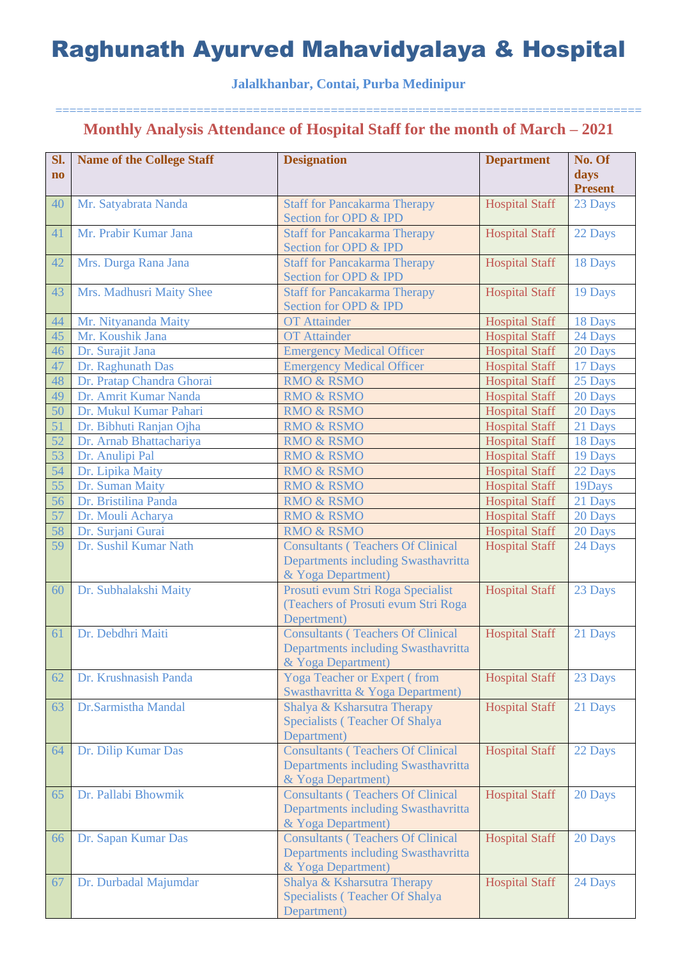### **Jalalkhanbar, Contai, Purba Medinipur**

| Sl.<br>$\mathbf{n}\mathbf{o}$ | <b>Name of the College Staff</b> | <b>Designation</b>                                                                                    | <b>Department</b>     | No. Of<br>days<br><b>Present</b> |
|-------------------------------|----------------------------------|-------------------------------------------------------------------------------------------------------|-----------------------|----------------------------------|
| 40                            | Mr. Satyabrata Nanda             | <b>Staff for Pancakarma Therapy</b><br>Section for OPD & IPD                                          | <b>Hospital Staff</b> | 23 Days                          |
| 41                            | Mr. Prabir Kumar Jana            | <b>Staff for Pancakarma Therapy</b><br>Section for OPD & IPD                                          | <b>Hospital Staff</b> | 22 Days                          |
| 42                            | Mrs. Durga Rana Jana             | <b>Staff for Pancakarma Therapy</b><br>Section for OPD & IPD                                          | <b>Hospital Staff</b> | 18 Days                          |
| 43                            | Mrs. Madhusri Maity Shee         | <b>Staff for Pancakarma Therapy</b><br>Section for OPD & IPD                                          | <b>Hospital Staff</b> | 19 Days                          |
| 44                            | Mr. Nityananda Maity             | <b>OT</b> Attainder                                                                                   | <b>Hospital Staff</b> | 18 Days                          |
| 45                            | Mr. Koushik Jana                 | <b>OT</b> Attainder                                                                                   | <b>Hospital Staff</b> | 24 Days                          |
| 46                            | Dr. Surajit Jana                 | <b>Emergency Medical Officer</b>                                                                      | <b>Hospital Staff</b> | 20 Days                          |
| 47                            | Dr. Raghunath Das                | <b>Emergency Medical Officer</b>                                                                      | <b>Hospital Staff</b> | 17 Days                          |
| 48                            | Dr. Pratap Chandra Ghorai        | <b>RMO &amp; RSMO</b>                                                                                 | <b>Hospital Staff</b> | 25 Days                          |
| 49                            | Dr. Amrit Kumar Nanda            | <b>RMO &amp; RSMO</b>                                                                                 | <b>Hospital Staff</b> | 20 Days                          |
| 50                            | Dr. Mukul Kumar Pahari           | <b>RMO &amp; RSMO</b>                                                                                 | <b>Hospital Staff</b> | 20 Days                          |
| 51                            | Dr. Bibhuti Ranjan Ojha          | <b>RMO &amp; RSMO</b>                                                                                 | <b>Hospital Staff</b> | 21 Days                          |
| 52                            | Dr. Arnab Bhattachariya          | <b>RMO &amp; RSMO</b>                                                                                 | <b>Hospital Staff</b> | 18 Days                          |
| 53                            | Dr. Anulipi Pal                  | <b>RMO &amp; RSMO</b>                                                                                 | <b>Hospital Staff</b> | 19 Days                          |
| 54                            | Dr. Lipika Maity                 | <b>RMO &amp; RSMO</b>                                                                                 | <b>Hospital Staff</b> | 22 Days                          |
| $\overline{55}$               | Dr. Suman Maity                  | <b>RMO &amp; RSMO</b>                                                                                 | <b>Hospital Staff</b> | 19Days                           |
| 56                            | Dr. Bristilina Panda             | <b>RMO &amp; RSMO</b>                                                                                 | <b>Hospital Staff</b> | 21 Days                          |
| 57                            | Dr. Mouli Acharya                | <b>RMO &amp; RSMO</b>                                                                                 | <b>Hospital Staff</b> | 20 Days                          |
| 58                            | Dr. Surjani Gurai                | <b>RMO &amp; RSMO</b>                                                                                 | <b>Hospital Staff</b> | 20 Days                          |
| 59                            | Dr. Sushil Kumar Nath            | <b>Consultants (Teachers Of Clinical</b><br>Departments including Swasthavritta<br>& Yoga Department) | <b>Hospital Staff</b> | 24 Days                          |
| 60                            | Dr. Subhalakshi Maity            | Prosuti evum Stri Roga Specialist<br>(Teachers of Prosuti evum Stri Roga<br>Depertment)               | <b>Hospital Staff</b> | 23 Days                          |
| 61                            | Dr. Debdhri Maiti                | <b>Consultants (Teachers Of Clinical</b><br>Departments including Swasthavritta<br>& Yoga Department) | <b>Hospital Staff</b> | 21 Days                          |
| 62                            | Dr. Krushnasish Panda            | <b>Yoga Teacher or Expert (from</b><br>Swasthavritta & Yoga Department)                               | <b>Hospital Staff</b> | 23 Days                          |
| 63                            | Dr.Sarmistha Mandal              | Shalya & Ksharsutra Therapy<br>Specialists (Teacher Of Shalya<br>Department)                          | <b>Hospital Staff</b> | 21 Days                          |
| 64                            | Dr. Dilip Kumar Das              | <b>Consultants (Teachers Of Clinical</b><br>Departments including Swasthavritta<br>& Yoga Department) | <b>Hospital Staff</b> | 22 Days                          |
| 65                            | Dr. Pallabi Bhowmik              | <b>Consultants (Teachers Of Clinical</b><br>Departments including Swasthavritta<br>& Yoga Department) | <b>Hospital Staff</b> | 20 Days                          |
| 66                            | Dr. Sapan Kumar Das              | <b>Consultants (Teachers Of Clinical</b><br>Departments including Swasthavritta<br>& Yoga Department) | <b>Hospital Staff</b> | 20 Days                          |
| 67                            | Dr. Durbadal Majumdar            | Shalya & Ksharsutra Therapy<br>Specialists (Teacher Of Shalya<br>Department)                          | <b>Hospital Staff</b> | 24 Days                          |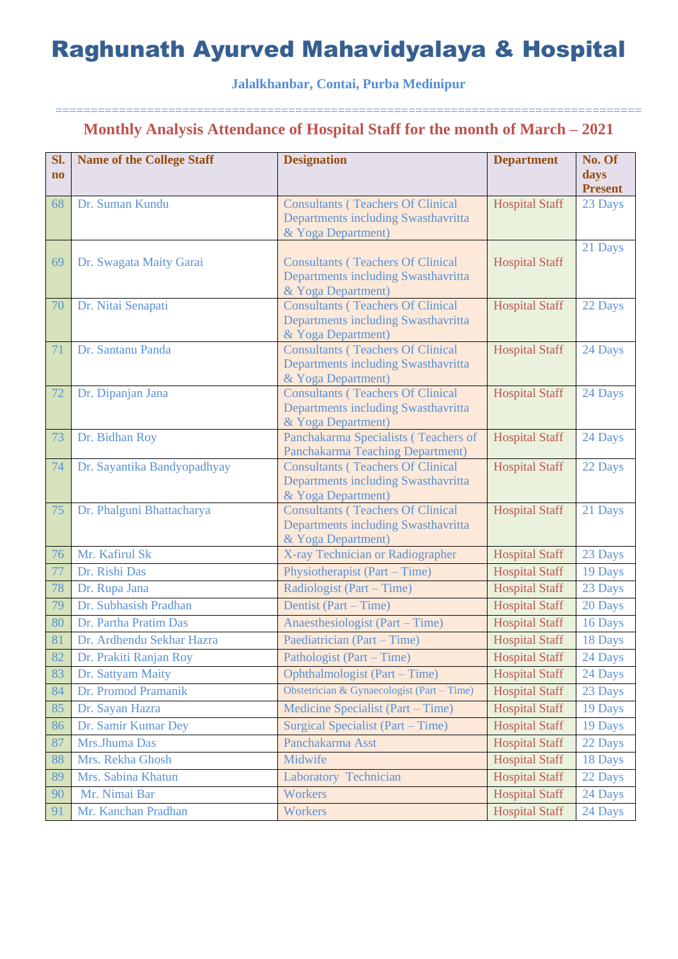### **Jalalkhanbar, Contai, Purba Medinipur**

| Sl.                    | <b>Name of the College Staff</b> | <b>Designation</b>                                             | <b>Department</b>     | No. Of                    |
|------------------------|----------------------------------|----------------------------------------------------------------|-----------------------|---------------------------|
| $\mathbf{n}\mathbf{o}$ |                                  |                                                                |                       | days                      |
| 68                     | Dr. Suman Kundu                  | <b>Consultants (Teachers Of Clinical</b>                       | <b>Hospital Staff</b> | <b>Present</b><br>23 Days |
|                        |                                  | Departments including Swasthavritta                            |                       |                           |
|                        |                                  | & Yoga Department)                                             |                       |                           |
|                        |                                  |                                                                |                       | 21 Days                   |
| 69                     | Dr. Swagata Maity Garai          | <b>Consultants (Teachers Of Clinical</b>                       | <b>Hospital Staff</b> |                           |
|                        |                                  | Departments including Swasthavritta                            |                       |                           |
| 70                     | Dr. Nitai Senapati               | & Yoga Department)<br><b>Consultants (Teachers Of Clinical</b> | <b>Hospital Staff</b> | 22 Days                   |
|                        |                                  | Departments including Swasthavritta                            |                       |                           |
|                        |                                  | & Yoga Department)                                             |                       |                           |
| 71                     | Dr. Santanu Panda                | <b>Consultants (Teachers Of Clinical</b>                       | <b>Hospital Staff</b> | 24 Days                   |
|                        |                                  | Departments including Swasthavritta                            |                       |                           |
|                        |                                  | & Yoga Department)                                             |                       |                           |
| 72                     | Dr. Dipanjan Jana                | <b>Consultants (Teachers Of Clinical</b>                       | <b>Hospital Staff</b> | 24 Days                   |
|                        |                                  | Departments including Swasthavritta<br>& Yoga Department)      |                       |                           |
| 73                     | Dr. Bidhan Roy                   | Panchakarma Specialists (Teachers of                           | <b>Hospital Staff</b> | 24 Days                   |
|                        |                                  | Panchakarma Teaching Department)                               |                       |                           |
| 74                     | Dr. Sayantika Bandyopadhyay      | <b>Consultants (Teachers Of Clinical</b>                       | <b>Hospital Staff</b> | 22 Days                   |
|                        |                                  | Departments including Swasthavritta                            |                       |                           |
|                        |                                  | & Yoga Department)                                             |                       |                           |
| 75                     | Dr. Phalguni Bhattacharya        | <b>Consultants (Teachers Of Clinical</b>                       | <b>Hospital Staff</b> | 21 Days                   |
|                        |                                  | Departments including Swasthavritta<br>& Yoga Department)      |                       |                           |
| 76                     | Mr. Kafirul Sk                   | X-ray Technician or Radiographer                               | <b>Hospital Staff</b> | 23 Days                   |
| 77                     | Dr. Rishi Das                    | Physiotherapist (Part – Time)                                  | <b>Hospital Staff</b> | 19 Days                   |
| 78                     | Dr. Rupa Jana                    | Radiologist (Part – Time)                                      | <b>Hospital Staff</b> | 23 Days                   |
| 79                     | Dr. Subhasish Pradhan            | Dentist (Part – Time)                                          | <b>Hospital Staff</b> | 20 Days                   |
| 80                     | Dr. Partha Pratim Das            | Anaesthesiologist (Part – Time)                                | <b>Hospital Staff</b> | 16 Days                   |
| 81                     | Dr. Ardhendu Sekhar Hazra        | Paediatrician (Part – Time)                                    | <b>Hospital Staff</b> | 18 Days                   |
| 82                     | Dr. Prakiti Ranjan Roy           | Pathologist (Part – Time)                                      | <b>Hospital Staff</b> | 24 Days                   |
| 83                     | Dr. Sattyam Maity                | Ophthalmologist (Part – Time)                                  | <b>Hospital Staff</b> | 24 Days                   |
| 84                     | Dr. Promod Pramanik              | Obstetrician & Gynaecologist (Part - Time)                     | <b>Hospital Staff</b> | 23 Days                   |
| 85                     | Dr. Sayan Hazra                  | Medicine Specialist (Part – Time)                              | <b>Hospital Staff</b> | 19 Days                   |
| 86                     | Dr. Samir Kumar Dey              | Surgical Specialist (Part – Time)                              | <b>Hospital Staff</b> | 19 Days                   |
| 87                     | Mrs.Jhuma Das                    | Panchakarma Asst                                               | <b>Hospital Staff</b> | 22 Days                   |
| 88                     | Mrs. Rekha Ghosh                 | Midwife                                                        | <b>Hospital Staff</b> | 18 Days                   |
| 89                     | Mrs. Sabina Khatun               | Laboratory Technician                                          | <b>Hospital Staff</b> | 22 Days                   |
| 90                     | Mr. Nimai Bar                    | <b>Workers</b>                                                 | <b>Hospital Staff</b> | 24 Days                   |
| 91                     | Mr. Kanchan Pradhan              | Workers                                                        | <b>Hospital Staff</b> | 24 Days                   |